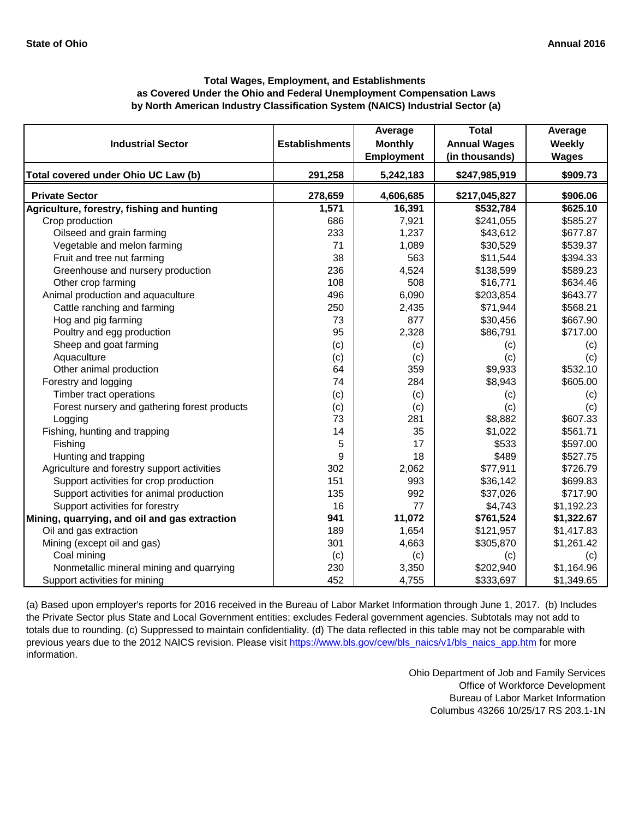| <b>Industrial Sector</b>                      | <b>Establishments</b> | Average<br><b>Monthly</b> | <b>Total</b><br><b>Annual Wages</b> | Average<br>Weekly |
|-----------------------------------------------|-----------------------|---------------------------|-------------------------------------|-------------------|
|                                               |                       | <b>Employment</b>         | (in thousands)                      | <b>Wages</b>      |
| Total covered under Ohio UC Law (b)           | 291,258               | 5,242,183                 | \$247,985,919                       | \$909.73          |
| <b>Private Sector</b>                         | 278,659               | 4,606,685                 | \$217,045,827                       | \$906.06          |
| Agriculture, forestry, fishing and hunting    | 1,571                 | 16,391                    | \$532,784                           | \$625.10          |
| Crop production                               | 686                   | 7,921                     | \$241,055                           | \$585.27          |
| Oilseed and grain farming                     | 233                   | 1,237                     | \$43,612                            | \$677.87          |
| Vegetable and melon farming                   | 71                    | 1,089                     | \$30,529                            | \$539.37          |
| Fruit and tree nut farming                    | 38                    | 563                       | \$11,544                            | \$394.33          |
| Greenhouse and nursery production             | 236                   | 4,524                     | \$138,599                           | \$589.23          |
| Other crop farming                            | 108                   | 508                       | \$16,771                            | \$634.46          |
| Animal production and aquaculture             | 496                   | 6,090                     | \$203,854                           | \$643.77          |
| Cattle ranching and farming                   | 250                   | 2,435                     | \$71,944                            | \$568.21          |
| Hog and pig farming                           | 73                    | 877                       | \$30,456                            | \$667.90          |
| Poultry and egg production                    | 95                    | 2,328                     | \$86,791                            | \$717.00          |
| Sheep and goat farming                        | (c)                   | (c)                       | (c)                                 | (c)               |
| Aquaculture                                   | (c)                   | (c)                       | (c)                                 | (c)               |
| Other animal production                       | 64                    | 359                       | \$9,933                             | \$532.10          |
| Forestry and logging                          | 74                    | 284                       | \$8,943                             | \$605.00          |
| Timber tract operations                       | (c)                   | (c)                       | (c)                                 | (c)               |
| Forest nursery and gathering forest products  | (c)                   | (c)                       | (c)                                 | (c)               |
| Logging                                       | 73                    | 281                       | \$8,882                             | \$607.33          |
| Fishing, hunting and trapping                 | 14                    | 35                        | \$1,022                             | \$561.71          |
| Fishing                                       | 5                     | 17                        | \$533                               | \$597.00          |
| Hunting and trapping                          | 9                     | 18                        | \$489                               | \$527.75          |
| Agriculture and forestry support activities   | 302                   | 2,062                     | \$77,911                            | \$726.79          |
| Support activities for crop production        | 151                   | 993                       | \$36,142                            | \$699.83          |
| Support activities for animal production      | 135                   | 992                       | \$37,026                            | \$717.90          |
| Support activities for forestry               | 16                    | 77                        | \$4,743                             | \$1,192.23        |
| Mining, quarrying, and oil and gas extraction | 941                   | 11,072                    | \$761,524                           | \$1,322.67        |
| Oil and gas extraction                        | 189                   | 1,654                     | \$121,957                           | \$1,417.83        |
| Mining (except oil and gas)                   | 301                   | 4,663                     | \$305,870                           | \$1,261.42        |
| Coal mining                                   | (c)                   | (c)                       | (c)                                 | (c)               |
| Nonmetallic mineral mining and quarrying      | 230                   | 3,350                     | \$202,940                           | \$1,164.96        |
| Support activities for mining                 | 452                   | 4,755                     | \$333,697                           | \$1,349.65        |

[\(a\) Based upon employer's reports for 2016 received in th](https://www.bls.gov/cew/bls_naics/v1/bls_naics_app.htm#)e Bureau of Labor Market Information through June 1, 2017. (b) Includes [the Private Sector plus State and Local Government entit](https://www.bls.gov/cew/bls_naics/v1/bls_naics_app.htm#)ies; excludes Federal government agencies. Subtotals may not add to [totals due to rounding. \(c\) Suppressed to maintain confid](https://www.bls.gov/cew/bls_naics/v1/bls_naics_app.htm#)entiality. (d) The data reflected in this table may not be comparable with [previous years due to the 2012 NAICS revision. Please visit https://www.bls.gov/cew/bls\\_naics/v1/bls\\_naics\\_app.htm](https://www.bls.gov/cew/bls_naics/v1/bls_naics_app.htm#) for more [information.](https://www.bls.gov/cew/bls_naics/v1/bls_naics_app.htm#)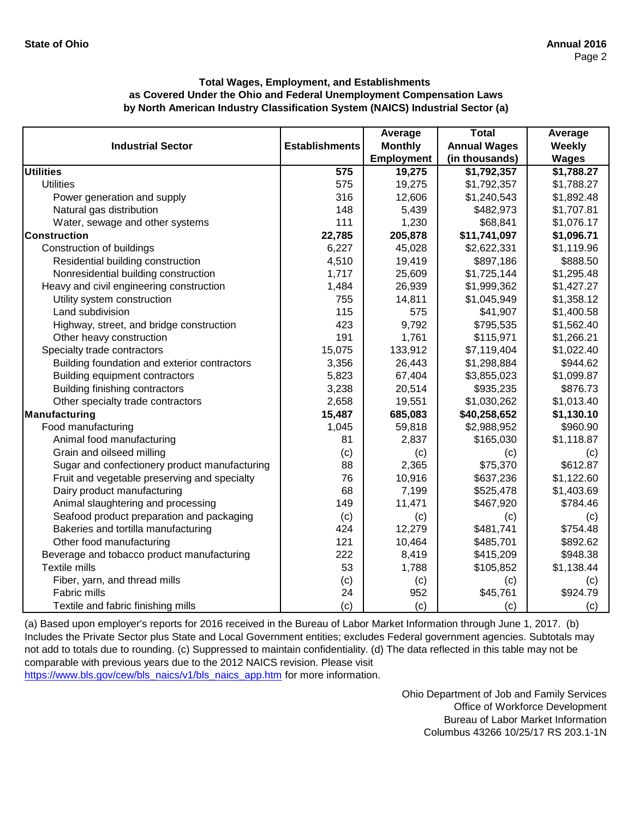|                                               |                       | Average           | <b>Total</b>        | Average       |
|-----------------------------------------------|-----------------------|-------------------|---------------------|---------------|
| <b>Industrial Sector</b>                      | <b>Establishments</b> | <b>Monthly</b>    | <b>Annual Wages</b> | <b>Weekly</b> |
|                                               |                       | <b>Employment</b> | (in thousands)      | <b>Wages</b>  |
| <b>Utilities</b>                              | 575                   | 19,275            | \$1,792,357         | \$1,788.27    |
| <b>Utilities</b>                              | 575                   | 19,275            | \$1,792,357         | \$1,788.27    |
| Power generation and supply                   | 316                   | 12,606            | \$1,240,543         | \$1,892.48    |
| Natural gas distribution                      | 148                   | 5,439             | \$482,973           | \$1,707.81    |
| Water, sewage and other systems               | 111                   | 1,230             | \$68,841            | \$1,076.17    |
| Construction                                  | 22,785                | 205,878           | \$11,741,097        | \$1,096.71    |
| Construction of buildings                     | 6,227                 | 45,028            | \$2,622,331         | \$1,119.96    |
| Residential building construction             | 4,510                 | 19,419            | \$897,186           | \$888.50      |
| Nonresidential building construction          | 1,717                 | 25,609            | \$1,725,144         | \$1,295.48    |
| Heavy and civil engineering construction      | 1,484                 | 26,939            | \$1,999,362         | \$1,427.27    |
| Utility system construction                   | 755                   | 14,811            | \$1,045,949         | \$1,358.12    |
| Land subdivision                              | 115                   | 575               | \$41,907            | \$1,400.58    |
| Highway, street, and bridge construction      | 423                   | 9,792             | \$795,535           | \$1,562.40    |
| Other heavy construction                      | 191                   | 1,761             | \$115,971           | \$1,266.21    |
| Specialty trade contractors                   | 15,075                | 133,912           | \$7,119,404         | \$1,022.40    |
| Building foundation and exterior contractors  | 3,356                 | 26,443            | \$1,298,884         | \$944.62      |
| Building equipment contractors                | 5,823                 | 67,404            | \$3,855,023         | \$1,099.87    |
| Building finishing contractors                | 3,238                 | 20,514            | \$935,235           | \$876.73      |
| Other specialty trade contractors             | 2,658                 | 19,551            | \$1,030,262         | \$1,013.40    |
| Manufacturing                                 | 15,487                | 685,083           | \$40,258,652        | \$1,130.10    |
| Food manufacturing                            | 1,045                 | 59,818            | \$2,988,952         | \$960.90      |
| Animal food manufacturing                     | 81                    | 2,837             | \$165,030           | \$1,118.87    |
| Grain and oilseed milling                     | (c)                   | (c)               | (c)                 | (c)           |
| Sugar and confectionery product manufacturing | 88                    | 2,365             | \$75,370            | \$612.87      |
| Fruit and vegetable preserving and specialty  | 76                    | 10,916            | \$637,236           | \$1,122.60    |
| Dairy product manufacturing                   | 68                    | 7,199             | \$525,478           | \$1,403.69    |
| Animal slaughtering and processing            | 149                   | 11,471            | \$467,920           | \$784.46      |
| Seafood product preparation and packaging     | (c)                   | (c)               | (c)                 | (c)           |
| Bakeries and tortilla manufacturing           | 424                   | 12,279            | \$481,741           | \$754.48      |
| Other food manufacturing                      | 121                   | 10,464            | \$485,701           | \$892.62      |
| Beverage and tobacco product manufacturing    | 222                   | 8,419             | \$415,209           | \$948.38      |
| Textile mills                                 | 53                    | 1,788             | \$105,852           | \$1,138.44    |
| Fiber, yarn, and thread mills                 | (c)                   | (c)               | (c)                 | (c)           |
| Fabric mills                                  | 24                    | 952               | \$45,761            | \$924.79      |
| Textile and fabric finishing mills            | (c)                   | (c)               | (c)                 | (c)           |

[\(a\) Based upon employer's reports for 2016 received in t](https://www.bls.gov/cew/bls_naics/v1/bls_naics_app.htm#)he Bureau of Labor Market Information through June 1, 2017. (b) [Includes the Private Sector plus State and Local Governm](https://www.bls.gov/cew/bls_naics/v1/bls_naics_app.htm#)ent entities; excludes Federal government agencies. Subtotals may [not add to totals due to rounding. \(c\) Suppressed to main](https://www.bls.gov/cew/bls_naics/v1/bls_naics_app.htm#)tain confidentiality. (d) The data reflected in this table may not be [comparable with previous years due to the 2012 NAICS](https://www.bls.gov/cew/bls_naics/v1/bls_naics_app.htm#) revision. Please visit

[https://www.bls.gov/cew/bls\\_naics/v1/bls\\_naics\\_app.htm](https://www.bls.gov/cew/bls_naics/v1/bls_naics_app.htm#) for more information.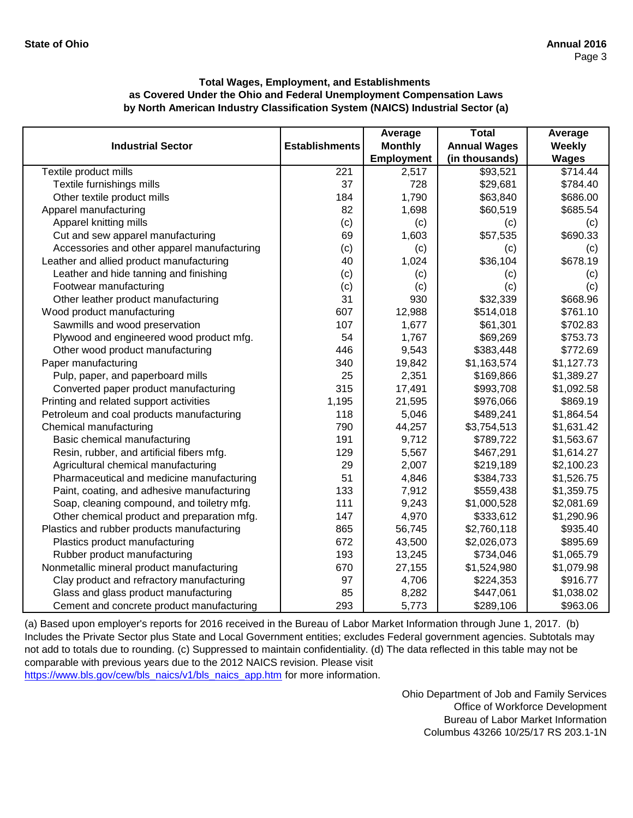|                                             |                       | Average           | <b>Total</b>        | Average      |
|---------------------------------------------|-----------------------|-------------------|---------------------|--------------|
| <b>Industrial Sector</b>                    | <b>Establishments</b> | <b>Monthly</b>    | <b>Annual Wages</b> | Weekly       |
|                                             |                       | <b>Employment</b> | (in thousands)      | <b>Wages</b> |
| Textile product mills                       | 221                   | 2,517             | \$93,521            | \$714.44     |
| Textile furnishings mills                   | 37                    | 728               | \$29,681            | \$784.40     |
| Other textile product mills                 | 184                   | 1,790             | \$63,840            | \$686.00     |
| Apparel manufacturing                       | 82                    | 1,698             | \$60,519            | \$685.54     |
| Apparel knitting mills                      | (c)                   | (c)               | (c)                 | (c)          |
| Cut and sew apparel manufacturing           | 69                    | 1,603             | \$57,535            | \$690.33     |
| Accessories and other apparel manufacturing | (c)                   | (c)               | (c)                 | (c)          |
| Leather and allied product manufacturing    | 40                    | 1,024             | \$36,104            | \$678.19     |
| Leather and hide tanning and finishing      | (c)                   | (c)               | (c)                 | (c)          |
| Footwear manufacturing                      | (c)                   | (c)               | (c)                 | (c)          |
| Other leather product manufacturing         | 31                    | 930               | \$32,339            | \$668.96     |
| Wood product manufacturing                  | 607                   | 12,988            | \$514,018           | \$761.10     |
| Sawmills and wood preservation              | 107                   | 1,677             | \$61,301            | \$702.83     |
| Plywood and engineered wood product mfg.    | 54                    | 1,767             | \$69,269            | \$753.73     |
| Other wood product manufacturing            | 446                   | 9,543             | \$383,448           | \$772.69     |
| Paper manufacturing                         | 340                   | 19,842            | \$1,163,574         | \$1,127.73   |
| Pulp, paper, and paperboard mills           | 25                    | 2,351             | \$169,866           | \$1,389.27   |
| Converted paper product manufacturing       | 315                   | 17,491            | \$993,708           | \$1,092.58   |
| Printing and related support activities     | 1,195                 | 21,595            | \$976,066           | \$869.19     |
| Petroleum and coal products manufacturing   | 118                   | 5,046             | \$489,241           | \$1,864.54   |
| Chemical manufacturing                      | 790                   | 44,257            | \$3,754,513         | \$1,631.42   |
| Basic chemical manufacturing                | 191                   | 9,712             | \$789,722           | \$1,563.67   |
| Resin, rubber, and artificial fibers mfg.   | 129                   | 5,567             | \$467,291           | \$1,614.27   |
| Agricultural chemical manufacturing         | 29                    | 2,007             | \$219,189           | \$2,100.23   |
| Pharmaceutical and medicine manufacturing   | 51                    | 4,846             | \$384,733           | \$1,526.75   |
| Paint, coating, and adhesive manufacturing  | 133                   | 7,912             | \$559,438           | \$1,359.75   |
| Soap, cleaning compound, and toiletry mfg.  | 111                   | 9,243             | \$1,000,528         | \$2,081.69   |
| Other chemical product and preparation mfg. | 147                   | 4,970             | \$333,612           | \$1,290.96   |
| Plastics and rubber products manufacturing  | 865                   | 56,745            | \$2,760,118         | \$935.40     |
| Plastics product manufacturing              | 672                   | 43,500            | \$2,026,073         | \$895.69     |
| Rubber product manufacturing                | 193                   | 13,245            | \$734,046           | \$1,065.79   |
| Nonmetallic mineral product manufacturing   | 670                   | 27,155            | \$1,524,980         | \$1,079.98   |
| Clay product and refractory manufacturing   | 97                    | 4,706             | \$224,353           | \$916.77     |
| Glass and glass product manufacturing       | 85                    | 8,282             | \$447,061           | \$1,038.02   |
| Cement and concrete product manufacturing   | 293                   | 5,773             | \$289,106           | \$963.06     |

[\(a\) Based upon employer's reports for 2016 received in t](https://www.bls.gov/cew/bls_naics/v1/bls_naics_app.htm#)he Bureau of Labor Market Information through June 1, 2017. (b) [Includes the Private Sector plus State and Local Governm](https://www.bls.gov/cew/bls_naics/v1/bls_naics_app.htm#)ent entities; excludes Federal government agencies. Subtotals may [not add to totals due to rounding. \(c\) Suppressed to main](https://www.bls.gov/cew/bls_naics/v1/bls_naics_app.htm#)tain confidentiality. (d) The data reflected in this table may not be [comparable with previous years due to the 2012 NAICS](https://www.bls.gov/cew/bls_naics/v1/bls_naics_app.htm#) revision. Please visit

[https://www.bls.gov/cew/bls\\_naics/v1/bls\\_naics\\_app.htm](https://www.bls.gov/cew/bls_naics/v1/bls_naics_app.htm#) for more information.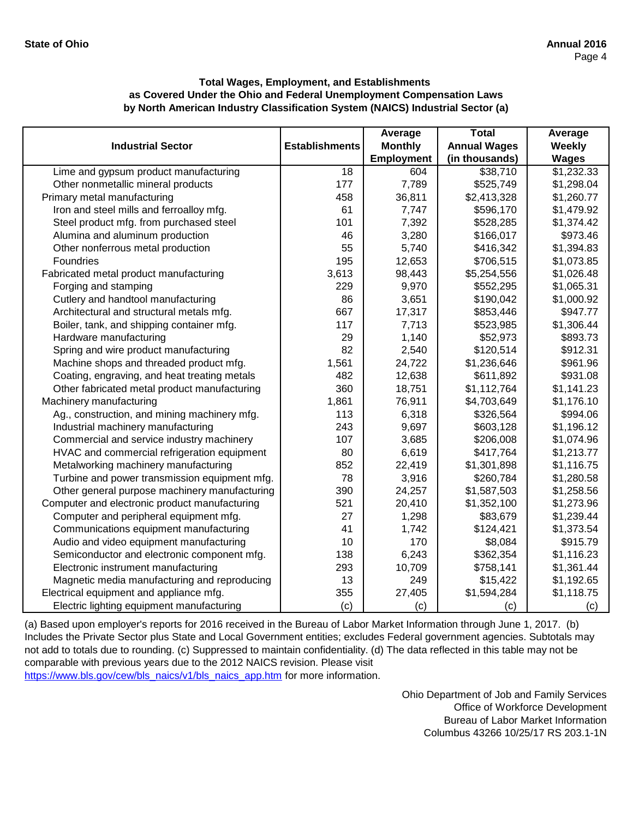|                                               |                       | Average        | <b>Total</b>        | Average      |
|-----------------------------------------------|-----------------------|----------------|---------------------|--------------|
| <b>Industrial Sector</b>                      | <b>Establishments</b> | <b>Monthly</b> | <b>Annual Wages</b> | Weekly       |
|                                               |                       | Employment     | (in thousands)      | <b>Wages</b> |
| Lime and gypsum product manufacturing         | 18                    | 604            | \$38,710            | \$1,232.33   |
| Other nonmetallic mineral products            | 177                   | 7,789          | \$525,749           | \$1,298.04   |
| Primary metal manufacturing                   | 458                   | 36,811         | \$2,413,328         | \$1,260.77   |
| Iron and steel mills and ferroalloy mfg.      | 61                    | 7,747          | \$596,170           | \$1,479.92   |
| Steel product mfg. from purchased steel       | 101                   | 7,392          | \$528,285           | \$1,374.42   |
| Alumina and aluminum production               | 46                    | 3,280          | \$166,017           | \$973.46     |
| Other nonferrous metal production             | 55                    | 5,740          | \$416,342           | \$1,394.83   |
| Foundries                                     | 195                   | 12,653         | \$706,515           | \$1,073.85   |
| Fabricated metal product manufacturing        | 3,613                 | 98,443         | \$5,254,556         | \$1,026.48   |
| Forging and stamping                          | 229                   | 9,970          | \$552,295           | \$1,065.31   |
| Cutlery and handtool manufacturing            | 86                    | 3,651          | \$190,042           | \$1,000.92   |
| Architectural and structural metals mfg.      | 667                   | 17,317         | \$853,446           | \$947.77     |
| Boiler, tank, and shipping container mfg.     | 117                   | 7,713          | \$523,985           | \$1,306.44   |
| Hardware manufacturing                        | 29                    | 1,140          | \$52,973            | \$893.73     |
| Spring and wire product manufacturing         | 82                    | 2,540          | \$120,514           | \$912.31     |
| Machine shops and threaded product mfg.       | 1,561                 | 24,722         | \$1,236,646         | \$961.96     |
| Coating, engraving, and heat treating metals  | 482                   | 12,638         | \$611,892           | \$931.08     |
| Other fabricated metal product manufacturing  | 360                   | 18,751         | \$1,112,764         | \$1,141.23   |
| Machinery manufacturing                       | 1,861                 | 76,911         | \$4,703,649         | \$1,176.10   |
| Ag., construction, and mining machinery mfg.  | 113                   | 6,318          | \$326,564           | \$994.06     |
| Industrial machinery manufacturing            | 243                   | 9,697          | \$603,128           | \$1,196.12   |
| Commercial and service industry machinery     | 107                   | 3,685          | \$206,008           | \$1,074.96   |
| HVAC and commercial refrigeration equipment   | 80                    | 6,619          | \$417,764           | \$1,213.77   |
| Metalworking machinery manufacturing          | 852                   | 22,419         | \$1,301,898         | \$1,116.75   |
| Turbine and power transmission equipment mfg. | 78                    | 3,916          | \$260,784           | \$1,280.58   |
| Other general purpose machinery manufacturing | 390                   | 24,257         | \$1,587,503         | \$1,258.56   |
| Computer and electronic product manufacturing | 521                   | 20,410         | \$1,352,100         | \$1,273.96   |
| Computer and peripheral equipment mfg.        | 27                    | 1,298          | \$83,679            | \$1,239.44   |
| Communications equipment manufacturing        | 41                    | 1,742          | \$124,421           | \$1,373.54   |
| Audio and video equipment manufacturing       | 10                    | 170            | \$8,084             | \$915.79     |
| Semiconductor and electronic component mfg.   | 138                   | 6,243          | \$362,354           | \$1,116.23   |
| Electronic instrument manufacturing           | 293                   | 10,709         | \$758,141           | \$1,361.44   |
| Magnetic media manufacturing and reproducing  | 13                    | 249            | \$15,422            | \$1,192.65   |
| Electrical equipment and appliance mfg.       | 355                   | 27,405         | \$1,594,284         | \$1,118.75   |
| Electric lighting equipment manufacturing     | (c)                   | (c)            | (c)                 | (c)          |

[\(a\) Based upon employer's reports for 2016 received in t](https://www.bls.gov/cew/bls_naics/v1/bls_naics_app.htm#)he Bureau of Labor Market Information through June 1, 2017. (b) [Includes the Private Sector plus State and Local Governm](https://www.bls.gov/cew/bls_naics/v1/bls_naics_app.htm#)ent entities; excludes Federal government agencies. Subtotals may [not add to totals due to rounding. \(c\) Suppressed to main](https://www.bls.gov/cew/bls_naics/v1/bls_naics_app.htm#)tain confidentiality. (d) The data reflected in this table may not be [comparable with previous years due to the 2012 NAICS](https://www.bls.gov/cew/bls_naics/v1/bls_naics_app.htm#) revision. Please visit

[https://www.bls.gov/cew/bls\\_naics/v1/bls\\_naics\\_app.htm](https://www.bls.gov/cew/bls_naics/v1/bls_naics_app.htm#) for more information.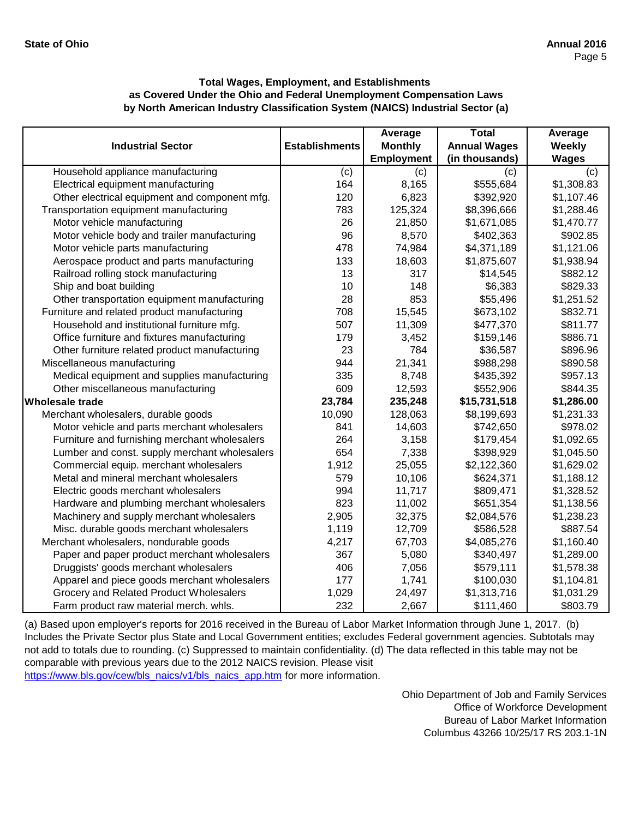|                                               |                       | Average           | <b>Total</b>        | Average      |
|-----------------------------------------------|-----------------------|-------------------|---------------------|--------------|
| <b>Industrial Sector</b>                      | <b>Establishments</b> | <b>Monthly</b>    | <b>Annual Wages</b> | Weekly       |
|                                               |                       | <b>Employment</b> | (in thousands)      | <b>Wages</b> |
| Household appliance manufacturing             | (c)                   | (c)               | (c)                 | (c)          |
| Electrical equipment manufacturing            | 164                   | 8,165             | \$555,684           | \$1,308.83   |
| Other electrical equipment and component mfg. | 120                   | 6,823             | \$392,920           | \$1,107.46   |
| Transportation equipment manufacturing        | 783                   | 125,324           | \$8,396,666         | \$1,288.46   |
| Motor vehicle manufacturing                   | 26                    | 21,850            | \$1,671,085         | \$1,470.77   |
| Motor vehicle body and trailer manufacturing  | 96                    | 8,570             | \$402,363           | \$902.85     |
| Motor vehicle parts manufacturing             | 478                   | 74,984            | \$4,371,189         | \$1,121.06   |
| Aerospace product and parts manufacturing     | 133                   | 18,603            | \$1,875,607         | \$1,938.94   |
| Railroad rolling stock manufacturing          | 13                    | 317               | \$14,545            | \$882.12     |
| Ship and boat building                        | 10                    | 148               | \$6,383             | \$829.33     |
| Other transportation equipment manufacturing  | 28                    | 853               | \$55,496            | \$1,251.52   |
| Furniture and related product manufacturing   | 708                   | 15,545            | \$673,102           | \$832.71     |
| Household and institutional furniture mfg.    | 507                   | 11,309            | \$477,370           | \$811.77     |
| Office furniture and fixtures manufacturing   | 179                   | 3,452             | \$159,146           | \$886.71     |
| Other furniture related product manufacturing | 23                    | 784               | \$36,587            | \$896.96     |
| Miscellaneous manufacturing                   | 944                   | 21,341            | \$988,298           | \$890.58     |
| Medical equipment and supplies manufacturing  | 335                   | 8,748             | \$435,392           | \$957.13     |
| Other miscellaneous manufacturing             | 609                   | 12,593            | \$552,906           | \$844.35     |
| <b>Wholesale trade</b>                        | 23,784                | 235,248           | \$15,731,518        | \$1,286.00   |
| Merchant wholesalers, durable goods           | 10,090                | 128,063           | \$8,199,693         | \$1,231.33   |
| Motor vehicle and parts merchant wholesalers  | 841                   | 14,603            | \$742,650           | \$978.02     |
| Furniture and furnishing merchant wholesalers | 264                   | 3,158             | \$179,454           | \$1,092.65   |
| Lumber and const. supply merchant wholesalers | 654                   | 7,338             | \$398,929           | \$1,045.50   |
| Commercial equip. merchant wholesalers        | 1,912                 | 25,055            | \$2,122,360         | \$1,629.02   |
| Metal and mineral merchant wholesalers        | 579                   | 10,106            | \$624,371           | \$1,188.12   |
| Electric goods merchant wholesalers           | 994                   | 11,717            | \$809,471           | \$1,328.52   |
| Hardware and plumbing merchant wholesalers    | 823                   | 11,002            | \$651,354           | \$1,138.56   |
| Machinery and supply merchant wholesalers     | 2,905                 | 32,375            | \$2,084,576         | \$1,238.23   |
| Misc. durable goods merchant wholesalers      | 1,119                 | 12,709            | \$586,528           | \$887.54     |
| Merchant wholesalers, nondurable goods        | 4,217                 | 67,703            | \$4,085,276         | \$1,160.40   |
| Paper and paper product merchant wholesalers  | 367                   | 5,080             | \$340,497           | \$1,289.00   |
| Druggists' goods merchant wholesalers         | 406                   | 7,056             | \$579,111           | \$1,578.38   |
| Apparel and piece goods merchant wholesalers  | 177                   | 1,741             | \$100,030           | \$1,104.81   |
| Grocery and Related Product Wholesalers       | 1,029                 | 24,497            | \$1,313,716         | \$1,031.29   |
| Farm product raw material merch. whls.        | 232                   | 2,667             | \$111,460           | \$803.79     |

[\(a\) Based upon employer's reports for 2016 received in t](https://www.bls.gov/cew/bls_naics/v1/bls_naics_app.htm#)he Bureau of Labor Market Information through June 1, 2017. (b) [Includes the Private Sector plus State and Local Governm](https://www.bls.gov/cew/bls_naics/v1/bls_naics_app.htm#)ent entities; excludes Federal government agencies. Subtotals may [not add to totals due to rounding. \(c\) Suppressed to main](https://www.bls.gov/cew/bls_naics/v1/bls_naics_app.htm#)tain confidentiality. (d) The data reflected in this table may not be [comparable with previous years due to the 2012 NAICS](https://www.bls.gov/cew/bls_naics/v1/bls_naics_app.htm#) revision. Please visit

[https://www.bls.gov/cew/bls\\_naics/v1/bls\\_naics\\_app.htm](https://www.bls.gov/cew/bls_naics/v1/bls_naics_app.htm#) for more information.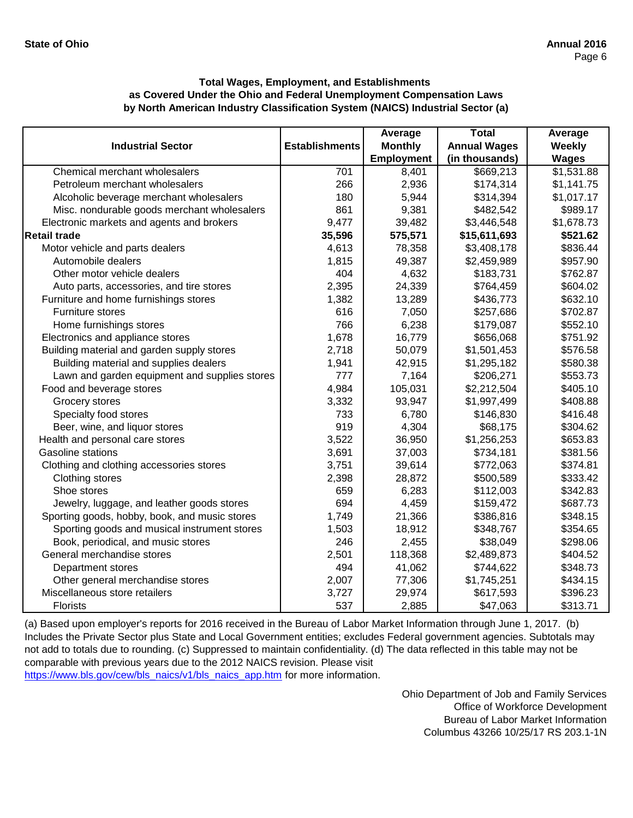|                                               |                       | Average           | <b>Total</b>        | Average      |
|-----------------------------------------------|-----------------------|-------------------|---------------------|--------------|
| <b>Industrial Sector</b>                      | <b>Establishments</b> | <b>Monthly</b>    | <b>Annual Wages</b> | Weekly       |
|                                               |                       | <b>Employment</b> | (in thousands)      | <b>Wages</b> |
| Chemical merchant wholesalers                 | 701                   | 8,401             | \$669,213           | \$1,531.88   |
| Petroleum merchant wholesalers                | 266                   | 2,936             | \$174,314           | \$1,141.75   |
| Alcoholic beverage merchant wholesalers       | 180                   | 5,944             | \$314,394           | \$1,017.17   |
| Misc. nondurable goods merchant wholesalers   | 861                   | 9,381             | \$482,542           | \$989.17     |
| Electronic markets and agents and brokers     | 9,477                 | 39,482            | \$3,446,548         | \$1,678.73   |
| <b>Retail trade</b>                           | 35,596                | 575,571           | \$15,611,693        | \$521.62     |
| Motor vehicle and parts dealers               | 4,613                 | 78,358            | \$3,408,178         | \$836.44     |
| Automobile dealers                            | 1,815                 | 49,387            | \$2,459,989         | \$957.90     |
| Other motor vehicle dealers                   | 404                   | 4,632             | \$183,731           | \$762.87     |
| Auto parts, accessories, and tire stores      | 2,395                 | 24,339            | \$764,459           | \$604.02     |
| Furniture and home furnishings stores         | 1,382                 | 13,289            | \$436,773           | \$632.10     |
| Furniture stores                              | 616                   | 7,050             | \$257,686           | \$702.87     |
| Home furnishings stores                       | 766                   | 6,238             | \$179,087           | \$552.10     |
| Electronics and appliance stores              | 1,678                 | 16,779            | \$656,068           | \$751.92     |
| Building material and garden supply stores    | 2,718                 | 50,079            | \$1,501,453         | \$576.58     |
| Building material and supplies dealers        | 1,941                 | 42,915            | \$1,295,182         | \$580.38     |
| Lawn and garden equipment and supplies stores | 777                   | 7,164             | \$206,271           | \$553.73     |
| Food and beverage stores                      | 4,984                 | 105,031           | \$2,212,504         | \$405.10     |
| Grocery stores                                | 3,332                 | 93,947            | \$1,997,499         | \$408.88     |
| Specialty food stores                         | 733                   | 6,780             | \$146,830           | \$416.48     |
| Beer, wine, and liquor stores                 | 919                   | 4,304             | \$68,175            | \$304.62     |
| Health and personal care stores               | 3,522                 | 36,950            | \$1,256,253         | \$653.83     |
| <b>Gasoline stations</b>                      | 3,691                 | 37,003            | \$734,181           | \$381.56     |
| Clothing and clothing accessories stores      | 3,751                 | 39,614            | \$772,063           | \$374.81     |
| Clothing stores                               | 2,398                 | 28,872            | \$500,589           | \$333.42     |
| Shoe stores                                   | 659                   | 6,283             | \$112,003           | \$342.83     |
| Jewelry, luggage, and leather goods stores    | 694                   | 4,459             | \$159,472           | \$687.73     |
| Sporting goods, hobby, book, and music stores | 1,749                 | 21,366            | \$386,816           | \$348.15     |
| Sporting goods and musical instrument stores  | 1,503                 | 18,912            | \$348,767           | \$354.65     |
| Book, periodical, and music stores            | 246                   | 2,455             | \$38,049            | \$298.06     |
| General merchandise stores                    | 2,501                 | 118,368           | \$2,489,873         | \$404.52     |
| Department stores                             | 494                   | 41,062            | \$744,622           | \$348.73     |
| Other general merchandise stores              | 2,007                 | 77,306            | \$1,745,251         | \$434.15     |
| Miscellaneous store retailers                 | 3,727                 | 29,974            | \$617,593           | \$396.23     |
| <b>Florists</b>                               | 537                   | 2,885             | \$47,063            | \$313.71     |

[\(a\) Based upon employer's reports for 2016 received in t](https://www.bls.gov/cew/bls_naics/v1/bls_naics_app.htm#)he Bureau of Labor Market Information through June 1, 2017. (b) [Includes the Private Sector plus State and Local Governm](https://www.bls.gov/cew/bls_naics/v1/bls_naics_app.htm#)ent entities; excludes Federal government agencies. Subtotals may [not add to totals due to rounding. \(c\) Suppressed to main](https://www.bls.gov/cew/bls_naics/v1/bls_naics_app.htm#)tain confidentiality. (d) The data reflected in this table may not be [comparable with previous years due to the 2012 NAICS](https://www.bls.gov/cew/bls_naics/v1/bls_naics_app.htm#) revision. Please visit

[https://www.bls.gov/cew/bls\\_naics/v1/bls\\_naics\\_app.htm](https://www.bls.gov/cew/bls_naics/v1/bls_naics_app.htm#) for more information.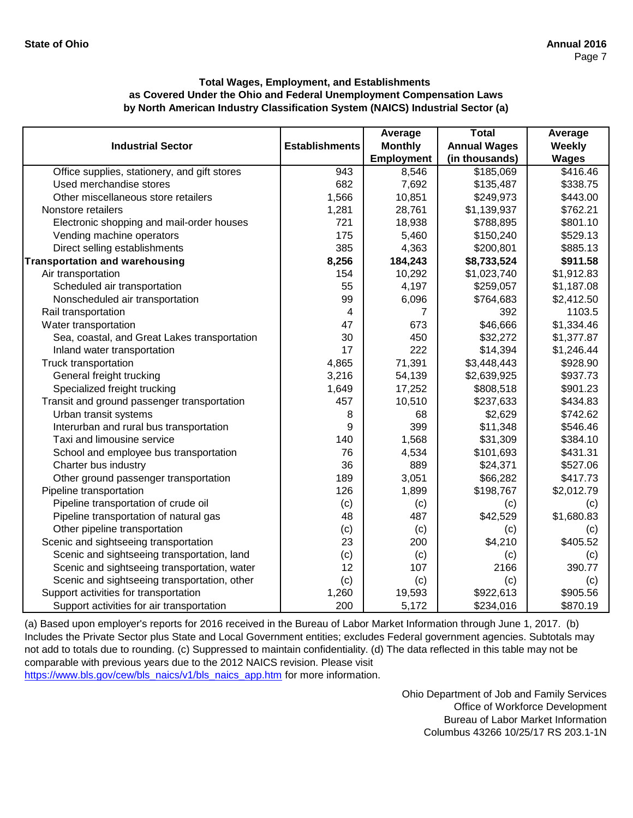|                                              |                       | Average           | <b>Total</b>        | Average              |
|----------------------------------------------|-----------------------|-------------------|---------------------|----------------------|
| <b>Industrial Sector</b>                     | <b>Establishments</b> | <b>Monthly</b>    | <b>Annual Wages</b> | Weekly               |
|                                              |                       | <b>Employment</b> | (in thousands)      | <b>Wages</b>         |
| Office supplies, stationery, and gift stores | 943                   | 8,546             | \$185,069           | $\overline{$}416.46$ |
| Used merchandise stores                      | 682                   | 7,692             | \$135,487           | \$338.75             |
| Other miscellaneous store retailers          | 1,566                 | 10,851            | \$249,973           | \$443.00             |
| Nonstore retailers                           | 1,281                 | 28,761            | \$1,139,937         | \$762.21             |
| Electronic shopping and mail-order houses    | 721                   | 18,938            | \$788,895           | \$801.10             |
| Vending machine operators                    | 175                   | 5,460             | \$150,240           | \$529.13             |
| Direct selling establishments                | 385                   | 4,363             | \$200,801           | \$885.13             |
| <b>Transportation and warehousing</b>        | 8,256                 | 184,243           | \$8,733,524         | \$911.58             |
| Air transportation                           | 154                   | 10,292            | \$1,023,740         | \$1,912.83           |
| Scheduled air transportation                 | 55                    | 4,197             | \$259,057           | \$1,187.08           |
| Nonscheduled air transportation              | 99                    | 6,096             | \$764,683           | \$2,412.50           |
| Rail transportation                          | 4                     | 7                 | 392                 | 1103.5               |
| Water transportation                         | 47                    | 673               | \$46,666            | \$1,334.46           |
| Sea, coastal, and Great Lakes transportation | 30                    | 450               | \$32,272            | \$1,377.87           |
| Inland water transportation                  | 17                    | 222               | \$14,394            | \$1,246.44           |
| Truck transportation                         | 4,865                 | 71,391            | \$3,448,443         | \$928.90             |
| General freight trucking                     | 3,216                 | 54,139            | \$2,639,925         | \$937.73             |
| Specialized freight trucking                 | 1,649                 | 17,252            | \$808,518           | \$901.23             |
| Transit and ground passenger transportation  | 457                   | 10,510            | \$237,633           | \$434.83             |
| Urban transit systems                        | 8                     | 68                | \$2,629             | \$742.62             |
| Interurban and rural bus transportation      | 9                     | 399               | \$11,348            | \$546.46             |
| Taxi and limousine service                   | 140                   | 1,568             | \$31,309            | \$384.10             |
| School and employee bus transportation       | 76                    | 4,534             | \$101,693           | \$431.31             |
| Charter bus industry                         | 36                    | 889               | \$24,371            | \$527.06             |
| Other ground passenger transportation        | 189                   | 3,051             | \$66,282            | \$417.73             |
| Pipeline transportation                      | 126                   | 1,899             | \$198,767           | \$2,012.79           |
| Pipeline transportation of crude oil         | (c)                   | (c)               | (c)                 | (c)                  |
| Pipeline transportation of natural gas       | 48                    | 487               | \$42,529            | \$1,680.83           |
| Other pipeline transportation                | (c)                   | (c)               | (c)                 | (c)                  |
| Scenic and sightseeing transportation        | 23                    | 200               | \$4,210             | \$405.52             |
| Scenic and sightseeing transportation, land  | (c)                   | (c)               | (c)                 | (c)                  |
| Scenic and sightseeing transportation, water | 12                    | 107               | 2166                | 390.77               |
| Scenic and sightseeing transportation, other | (c)                   | (c)               | (c)                 | (c)                  |
| Support activities for transportation        | 1,260                 | 19,593            | \$922,613           | \$905.56             |
| Support activities for air transportation    | 200                   | 5,172             | \$234,016           | \$870.19             |

[\(a\) Based upon employer's reports for 2016 received in t](https://www.bls.gov/cew/bls_naics/v1/bls_naics_app.htm#)he Bureau of Labor Market Information through June 1, 2017. (b) [Includes the Private Sector plus State and Local Governm](https://www.bls.gov/cew/bls_naics/v1/bls_naics_app.htm#)ent entities; excludes Federal government agencies. Subtotals may [not add to totals due to rounding. \(c\) Suppressed to main](https://www.bls.gov/cew/bls_naics/v1/bls_naics_app.htm#)tain confidentiality. (d) The data reflected in this table may not be [comparable with previous years due to the 2012 NAICS](https://www.bls.gov/cew/bls_naics/v1/bls_naics_app.htm#) revision. Please visit

[https://www.bls.gov/cew/bls\\_naics/v1/bls\\_naics\\_app.htm](https://www.bls.gov/cew/bls_naics/v1/bls_naics_app.htm#) for more information.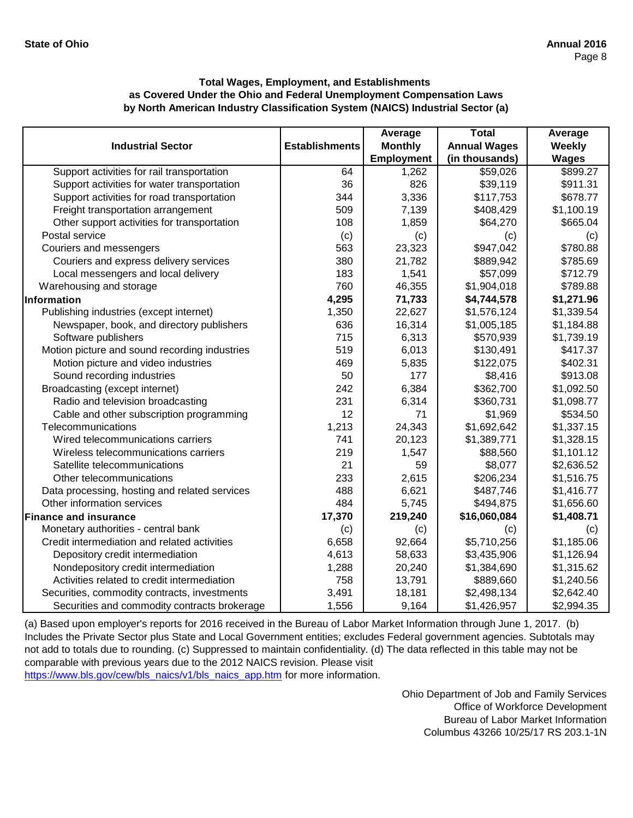|                                               |                       | Average           | <b>Total</b>        | Average      |
|-----------------------------------------------|-----------------------|-------------------|---------------------|--------------|
| <b>Industrial Sector</b>                      | <b>Establishments</b> | <b>Monthly</b>    | <b>Annual Wages</b> | Weekly       |
|                                               |                       | <b>Employment</b> | (in thousands)      | <b>Wages</b> |
| Support activities for rail transportation    | 64                    | 1,262             | \$59,026            | \$899.27     |
| Support activities for water transportation   | 36                    | 826               | \$39,119            | \$911.31     |
| Support activities for road transportation    | 344                   | 3,336             | \$117,753           | \$678.77     |
| Freight transportation arrangement            | 509                   | 7,139             | \$408,429           | \$1,100.19   |
| Other support activities for transportation   | 108                   | 1,859             | \$64,270            | \$665.04     |
| Postal service                                | (c)                   | (c)               | (c)                 | (c)          |
| Couriers and messengers                       | 563                   | 23,323            | \$947,042           | \$780.88     |
| Couriers and express delivery services        | 380                   | 21,782            | \$889,942           | \$785.69     |
| Local messengers and local delivery           | 183                   | 1,541             | \$57,099            | \$712.79     |
| Warehousing and storage                       | 760                   | 46,355            | \$1,904,018         | \$789.88     |
| Information                                   | 4,295                 | 71,733            | \$4,744,578         | \$1,271.96   |
| Publishing industries (except internet)       | 1,350                 | 22,627            | \$1,576,124         | \$1,339.54   |
| Newspaper, book, and directory publishers     | 636                   | 16,314            | \$1,005,185         | \$1,184.88   |
| Software publishers                           | 715                   | 6,313             | \$570,939           | \$1,739.19   |
| Motion picture and sound recording industries | 519                   | 6,013             | \$130,491           | \$417.37     |
| Motion picture and video industries           | 469                   | 5,835             | \$122,075           | \$402.31     |
| Sound recording industries                    | 50                    | 177               | \$8,416             | \$913.08     |
| Broadcasting (except internet)                | 242                   | 6,384             | \$362,700           | \$1,092.50   |
| Radio and television broadcasting             | 231                   | 6,314             | \$360,731           | \$1,098.77   |
| Cable and other subscription programming      | 12                    | 71                | \$1,969             | \$534.50     |
| Telecommunications                            | 1,213                 | 24,343            | \$1,692,642         | \$1,337.15   |
| Wired telecommunications carriers             | 741                   | 20,123            | \$1,389,771         | \$1,328.15   |
| Wireless telecommunications carriers          | 219                   | 1,547             | \$88,560            | \$1,101.12   |
| Satellite telecommunications                  | 21                    | 59                | \$8,077             | \$2,636.52   |
| Other telecommunications                      | 233                   | 2,615             | \$206,234           | \$1,516.75   |
| Data processing, hosting and related services | 488                   | 6,621             | \$487,746           | \$1,416.77   |
| Other information services                    | 484                   | 5,745             | \$494,875           | \$1,656.60   |
| <b>Finance and insurance</b>                  | 17,370                | 219,240           | \$16,060,084        | \$1,408.71   |
| Monetary authorities - central bank           | (c)                   | (c)               | (c)                 | (c)          |
| Credit intermediation and related activities  | 6,658                 | 92,664            | \$5,710,256         | \$1,185.06   |
| Depository credit intermediation              | 4,613                 | 58,633            | \$3,435,906         | \$1,126.94   |
| Nondepository credit intermediation           | 1,288                 | 20,240            | \$1,384,690         | \$1,315.62   |
| Activities related to credit intermediation   | 758                   | 13,791            | \$889,660           | \$1,240.56   |
| Securities, commodity contracts, investments  | 3,491                 | 18,181            | \$2,498,134         | \$2,642.40   |
| Securities and commodity contracts brokerage  | 1,556                 | 9,164             | \$1,426,957         | \$2,994.35   |

[\(a\) Based upon employer's reports for 2016 received in t](https://www.bls.gov/cew/bls_naics/v1/bls_naics_app.htm#)he Bureau of Labor Market Information through June 1, 2017. (b) [Includes the Private Sector plus State and Local Governm](https://www.bls.gov/cew/bls_naics/v1/bls_naics_app.htm#)ent entities; excludes Federal government agencies. Subtotals may [not add to totals due to rounding. \(c\) Suppressed to main](https://www.bls.gov/cew/bls_naics/v1/bls_naics_app.htm#)tain confidentiality. (d) The data reflected in this table may not be [comparable with previous years due to the 2012 NAICS](https://www.bls.gov/cew/bls_naics/v1/bls_naics_app.htm#) revision. Please visit

[https://www.bls.gov/cew/bls\\_naics/v1/bls\\_naics\\_app.htm](https://www.bls.gov/cew/bls_naics/v1/bls_naics_app.htm#) for more information.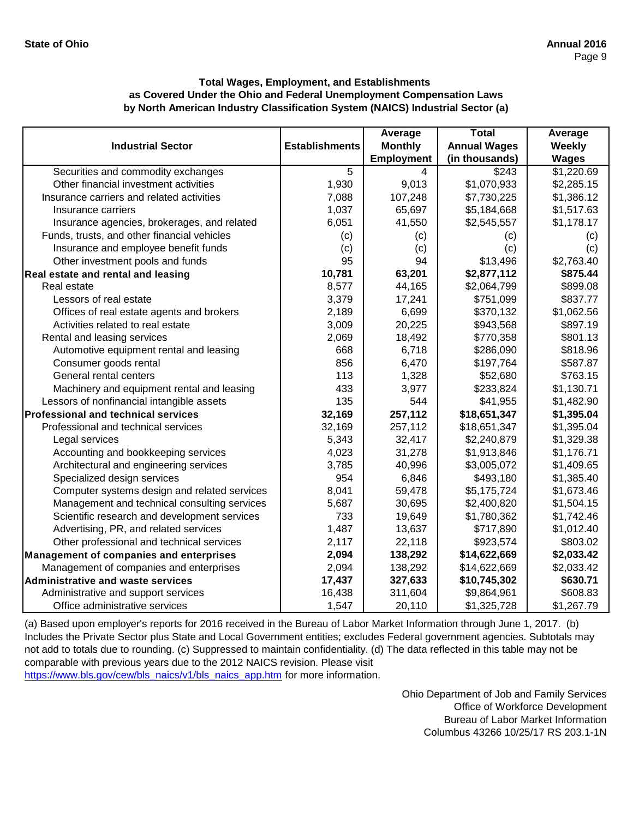|                                                |                       | Average           | <b>Total</b>        | Average      |
|------------------------------------------------|-----------------------|-------------------|---------------------|--------------|
| <b>Industrial Sector</b>                       | <b>Establishments</b> | <b>Monthly</b>    | <b>Annual Wages</b> | Weekly       |
|                                                |                       | <b>Employment</b> | (in thousands)      | <b>Wages</b> |
| Securities and commodity exchanges             | 5                     | 4                 | \$243               | \$1,220.69   |
| Other financial investment activities          | 1,930                 | 9,013             | \$1,070,933         | \$2,285.15   |
| Insurance carriers and related activities      | 7,088                 | 107,248           | \$7,730,225         | \$1,386.12   |
| Insurance carriers                             | 1,037                 | 65,697            | \$5,184,668         | \$1,517.63   |
| Insurance agencies, brokerages, and related    | 6,051                 | 41,550            | \$2,545,557         | \$1,178.17   |
| Funds, trusts, and other financial vehicles    | (c)                   | (c)               | (c)                 | (c)          |
| Insurance and employee benefit funds           | (c)                   | (c)               | (c)                 | (c)          |
| Other investment pools and funds               | 95                    | 94                | \$13,496            | \$2,763.40   |
| Real estate and rental and leasing             | 10,781                | 63,201            | \$2,877,112         | \$875.44     |
| Real estate                                    | 8,577                 | 44,165            | \$2,064,799         | \$899.08     |
| Lessors of real estate                         | 3,379                 | 17,241            | \$751,099           | \$837.77     |
| Offices of real estate agents and brokers      | 2,189                 | 6,699             | \$370,132           | \$1,062.56   |
| Activities related to real estate              | 3,009                 | 20,225            | \$943,568           | \$897.19     |
| Rental and leasing services                    | 2,069                 | 18,492            | \$770,358           | \$801.13     |
| Automotive equipment rental and leasing        | 668                   | 6,718             | \$286,090           | \$818.96     |
| Consumer goods rental                          | 856                   | 6,470             | \$197,764           | \$587.87     |
| General rental centers                         | 113                   | 1,328             | \$52,680            | \$763.15     |
| Machinery and equipment rental and leasing     | 433                   | 3,977             | \$233,824           | \$1,130.71   |
| Lessors of nonfinancial intangible assets      | 135                   | 544               | \$41,955            | \$1,482.90   |
| <b>Professional and technical services</b>     | 32,169                | 257,112           | \$18,651,347        | \$1,395.04   |
| Professional and technical services            | 32,169                | 257,112           | \$18,651,347        | \$1,395.04   |
| Legal services                                 | 5,343                 | 32,417            | \$2,240,879         | \$1,329.38   |
| Accounting and bookkeeping services            | 4,023                 | 31,278            | \$1,913,846         | \$1,176.71   |
| Architectural and engineering services         | 3,785                 | 40,996            | \$3,005,072         | \$1,409.65   |
| Specialized design services                    | 954                   | 6,846             | \$493,180           | \$1,385.40   |
| Computer systems design and related services   | 8,041                 | 59,478            | \$5,175,724         | \$1,673.46   |
| Management and technical consulting services   | 5,687                 | 30,695            | \$2,400,820         | \$1,504.15   |
| Scientific research and development services   | 733                   | 19,649            | \$1,780,362         | \$1,742.46   |
| Advertising, PR, and related services          | 1,487                 | 13,637            | \$717,890           | \$1,012.40   |
| Other professional and technical services      | 2,117                 | 22,118            | \$923,574           | \$803.02     |
| <b>Management of companies and enterprises</b> | 2,094                 | 138,292           | \$14,622,669        | \$2,033.42   |
| Management of companies and enterprises        | 2,094                 | 138,292           | \$14,622,669        | \$2,033.42   |
| <b>Administrative and waste services</b>       | 17,437                | 327,633           | \$10,745,302        | \$630.71     |
| Administrative and support services            | 16,438                | 311,604           | \$9,864,961         | \$608.83     |
| Office administrative services                 | 1,547                 | 20,110            | \$1,325,728         | \$1,267.79   |

[\(a\) Based upon employer's reports for 2016 received in t](https://www.bls.gov/cew/bls_naics/v1/bls_naics_app.htm#)he Bureau of Labor Market Information through June 1, 2017. (b) [Includes the Private Sector plus State and Local Governm](https://www.bls.gov/cew/bls_naics/v1/bls_naics_app.htm#)ent entities; excludes Federal government agencies. Subtotals may [not add to totals due to rounding. \(c\) Suppressed to main](https://www.bls.gov/cew/bls_naics/v1/bls_naics_app.htm#)tain confidentiality. (d) The data reflected in this table may not be [comparable with previous years due to the 2012 NAICS](https://www.bls.gov/cew/bls_naics/v1/bls_naics_app.htm#) revision. Please visit

[https://www.bls.gov/cew/bls\\_naics/v1/bls\\_naics\\_app.htm](https://www.bls.gov/cew/bls_naics/v1/bls_naics_app.htm#) for more information.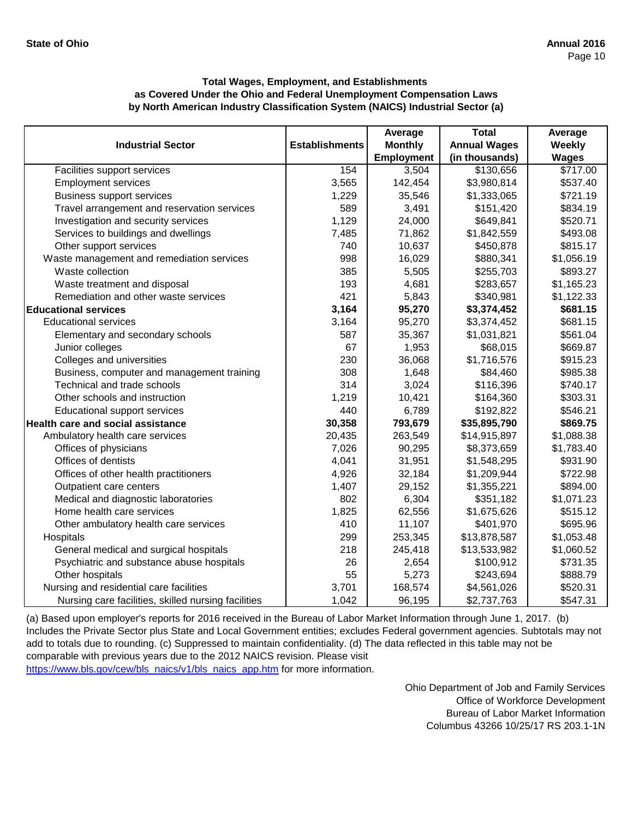|                                                     |                       | Average           | <b>Total</b>        | Average      |
|-----------------------------------------------------|-----------------------|-------------------|---------------------|--------------|
| <b>Industrial Sector</b>                            | <b>Establishments</b> | <b>Monthly</b>    | <b>Annual Wages</b> | Weekly       |
|                                                     |                       | <b>Employment</b> | (in thousands)      | <b>Wages</b> |
| Facilities support services                         | 154                   | 3,504             | \$130,656           | \$717.00     |
| <b>Employment services</b>                          | 3,565                 | 142,454           | \$3,980,814         | \$537.40     |
| <b>Business support services</b>                    | 1,229                 | 35,546            | \$1,333,065         | \$721.19     |
| Travel arrangement and reservation services         | 589                   | 3,491             | \$151,420           | \$834.19     |
| Investigation and security services                 | 1,129                 | 24,000            | \$649,841           | \$520.71     |
| Services to buildings and dwellings                 | 7,485                 | 71,862            | \$1,842,559         | \$493.08     |
| Other support services                              | 740                   | 10,637            | \$450,878           | \$815.17     |
| Waste management and remediation services           | 998                   | 16,029            | \$880,341           | \$1,056.19   |
| Waste collection                                    | 385                   | 5,505             | \$255,703           | \$893.27     |
| Waste treatment and disposal                        | 193                   | 4,681             | \$283,657           | \$1,165.23   |
| Remediation and other waste services                | 421                   | 5,843             | \$340,981           | \$1,122.33   |
| <b>Educational services</b>                         | 3,164                 | 95,270            | \$3,374,452         | \$681.15     |
| <b>Educational services</b>                         | 3,164                 | 95,270            | \$3,374,452         | \$681.15     |
| Elementary and secondary schools                    | 587                   | 35,367            | \$1,031,821         | \$561.04     |
| Junior colleges                                     | 67                    | 1,953             | \$68,015            | \$669.87     |
| Colleges and universities                           | 230                   | 36,068            | \$1,716,576         | \$915.23     |
| Business, computer and management training          | 308                   | 1,648             | \$84,460            | \$985.38     |
| Technical and trade schools                         | 314                   | 3,024             | \$116,396           | \$740.17     |
| Other schools and instruction                       | 1,219                 | 10,421            | \$164,360           | \$303.31     |
| <b>Educational support services</b>                 | 440                   | 6,789             | \$192,822           | \$546.21     |
| Health care and social assistance                   | 30,358                | 793,679           | \$35,895,790        | \$869.75     |
| Ambulatory health care services                     | 20,435                | 263,549           | \$14,915,897        | \$1,088.38   |
| Offices of physicians                               | 7,026                 | 90,295            | \$8,373,659         | \$1,783.40   |
| Offices of dentists                                 | 4,041                 | 31,951            | \$1,548,295         | \$931.90     |
| Offices of other health practitioners               | 4,926                 | 32,184            | \$1,209,944         | \$722.98     |
| Outpatient care centers                             | 1,407                 | 29,152            | \$1,355,221         | \$894.00     |
| Medical and diagnostic laboratories                 | 802                   | 6,304             | \$351,182           | \$1,071.23   |
| Home health care services                           | 1,825                 | 62,556            | \$1,675,626         | \$515.12     |
| Other ambulatory health care services               | 410                   | 11,107            | \$401,970           | \$695.96     |
| Hospitals                                           | 299                   | 253,345           | \$13,878,587        | \$1,053.48   |
| General medical and surgical hospitals              | 218                   | 245,418           | \$13,533,982        | \$1,060.52   |
| Psychiatric and substance abuse hospitals           | 26                    | 2,654             | \$100,912           | \$731.35     |
| Other hospitals                                     | 55                    | 5,273             | \$243,694           | \$888.79     |
| Nursing and residential care facilities             | 3,701                 | 168,574           | \$4,561,026         | \$520.31     |
| Nursing care facilities, skilled nursing facilities | 1,042                 | 96,195            | \$2,737,763         | \$547.31     |

[\(a\) Based upon employer's reports for 2016 received in the](https://www.bls.gov/cew/bls_naics/v1/bls_naics_app.htm#) Bureau of Labor Market Information through June 1, 2017. (b) [Includes the Private Sector plus State and Local Governme](https://www.bls.gov/cew/bls_naics/v1/bls_naics_app.htm#)nt entities; excludes Federal government agencies. Subtotals may not [add to totals due to rounding. \(c\) Suppressed to maintain c](https://www.bls.gov/cew/bls_naics/v1/bls_naics_app.htm#)onfidentiality. (d) The data reflected in this table may not be [comparable with previous years due to the 2012 NAICS rev](https://www.bls.gov/cew/bls_naics/v1/bls_naics_app.htm#)ision. Please visit [https://www.bls.gov/cew/bls\\_naics/v1/bls\\_naics\\_app.htm fo](https://www.bls.gov/cew/bls_naics/v1/bls_naics_app.htm#)r more information.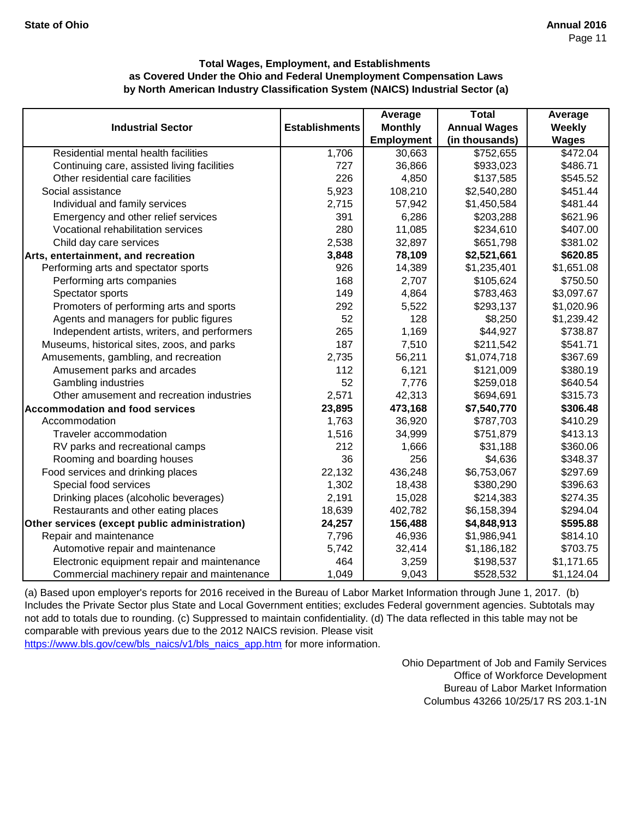|                                               |                       | Average           | <b>Total</b>        | Average       |
|-----------------------------------------------|-----------------------|-------------------|---------------------|---------------|
| <b>Industrial Sector</b>                      | <b>Establishments</b> | <b>Monthly</b>    | <b>Annual Wages</b> | <b>Weekly</b> |
|                                               |                       | <b>Employment</b> | (in thousands)      | <b>Wages</b>  |
| Residential mental health facilities          | $\overline{1,706}$    | 30,663            | \$752,655           | \$472.04      |
| Continuing care, assisted living facilities   | 727                   | 36,866            | \$933,023           | \$486.71      |
| Other residential care facilities             | 226                   | 4,850             | \$137,585           | \$545.52      |
| Social assistance                             | 5,923                 | 108,210           | \$2,540,280         | \$451.44      |
| Individual and family services                | 2,715                 | 57,942            | \$1,450,584         | \$481.44      |
| Emergency and other relief services           | 391                   | 6,286             | \$203,288           | \$621.96      |
| Vocational rehabilitation services            | 280                   | 11,085            | \$234,610           | \$407.00      |
| Child day care services                       | 2,538                 | 32,897            | \$651,798           | \$381.02      |
| Arts, entertainment, and recreation           | 3,848                 | 78,109            | \$2,521,661         | \$620.85      |
| Performing arts and spectator sports          | 926                   | 14,389            | \$1,235,401         | \$1,651.08    |
| Performing arts companies                     | 168                   | 2,707             | \$105,624           | \$750.50      |
| Spectator sports                              | 149                   | 4,864             | \$783,463           | \$3,097.67    |
| Promoters of performing arts and sports       | 292                   | 5,522             | \$293,137           | \$1,020.96    |
| Agents and managers for public figures        | 52                    | 128               | \$8,250             | \$1,239.42    |
| Independent artists, writers, and performers  | 265                   | 1,169             | \$44,927            | \$738.87      |
| Museums, historical sites, zoos, and parks    | 187                   | 7,510             | \$211,542           | \$541.71      |
| Amusements, gambling, and recreation          | 2,735                 | 56,211            | \$1,074,718         | \$367.69      |
| Amusement parks and arcades                   | 112                   | 6,121             | \$121,009           | \$380.19      |
| <b>Gambling industries</b>                    | 52                    | 7,776             | \$259,018           | \$640.54      |
| Other amusement and recreation industries     | 2,571                 | 42,313            | \$694,691           | \$315.73      |
| <b>Accommodation and food services</b>        | 23,895                | 473,168           | \$7,540,770         | \$306.48      |
| Accommodation                                 | 1,763                 | 36,920            | \$787,703           | \$410.29      |
| Traveler accommodation                        | 1,516                 | 34,999            | \$751,879           | \$413.13      |
| RV parks and recreational camps               | 212                   | 1,666             | \$31,188            | \$360.06      |
| Rooming and boarding houses                   | 36                    | 256               | \$4,636             | \$348.37      |
| Food services and drinking places             | 22,132                | 436,248           | \$6,753,067         | \$297.69      |
| Special food services                         | 1,302                 | 18,438            | \$380,290           | \$396.63      |
| Drinking places (alcoholic beverages)         | 2,191                 | 15,028            | \$214,383           | \$274.35      |
| Restaurants and other eating places           | 18,639                | 402,782           | \$6,158,394         | \$294.04      |
| Other services (except public administration) | 24,257                | 156,488           | \$4,848,913         | \$595.88      |
| Repair and maintenance                        | 7,796                 | 46,936            | \$1,986,941         | \$814.10      |
| Automotive repair and maintenance             | 5,742                 | 32,414            | \$1,186,182         | \$703.75      |
| Electronic equipment repair and maintenance   | 464                   | 3,259             | \$198,537           | \$1,171.65    |
| Commercial machinery repair and maintenance   | 1,049                 | 9,043             | \$528,532           | \$1,124.04    |

[\(a\) Based upon employer's reports for 2016 received in t](https://www.bls.gov/cew/bls_naics/v1/bls_naics_app.htm#)he Bureau of Labor Market Information through June 1, 2017. (b) [Includes the Private Sector plus State and Local Governm](https://www.bls.gov/cew/bls_naics/v1/bls_naics_app.htm#)ent entities; excludes Federal government agencies. Subtotals may [not add to totals due to rounding. \(c\) Suppressed to main](https://www.bls.gov/cew/bls_naics/v1/bls_naics_app.htm#)tain confidentiality. (d) The data reflected in this table may not be [comparable with previous years due to the 2012 NAICS](https://www.bls.gov/cew/bls_naics/v1/bls_naics_app.htm#) revision. Please visit

[https://www.bls.gov/cew/bls\\_naics/v1/bls\\_naics\\_app.htm](https://www.bls.gov/cew/bls_naics/v1/bls_naics_app.htm#) for more information.